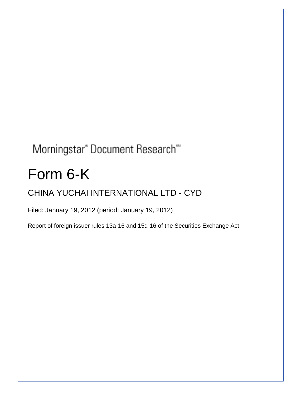# Morningstar® Document Research®

# Form 6-K

# CHINA YUCHAI INTERNATIONAL LTD - CYD

Filed: January 19, 2012 (period: January 19, 2012)

Report of foreign issuer rules 13a-16 and 15d-16 of the Securities Exchange Act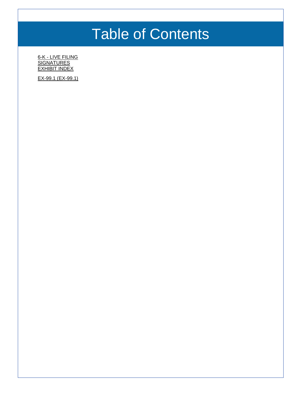# Table of Contents

6-K - [LIVE FILING](#page-2-0) **[SIGNATURES](#page-4-0) [EXHIBIT INDEX](#page-5-0)** 

[EX-99.1 \(EX-99.1\)](#page-6-0)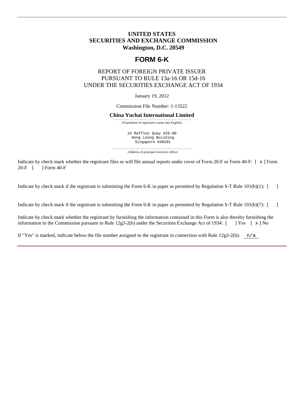### <span id="page-2-0"></span>**UNITED STATES SECURITIES AND EXCHANGE COMMISSION Washington, D.C. 20549**

## **FORM 6-K**

### REPORT OF FOREIGN PRIVATE ISSUER PURSUANT TO RULE 13a-16 OR 15d-16 UNDER THE SECURITIES EXCHANGE ACT OF 1934

January 19, 2012

Commission File Number: 1-13522

#### **China Yuchai International Limited**

——————————————————————————————————— (Translation of registrant's name into English)

16 Raffles Quay #26-00 Hong Leong Building Singapore 048581

——————————————————————————————————— (Address of principal executive office)

Indicate by check mark whether the registrant files or will file annual reports under cover of Form 20-F or Form 40-F:  $[ \times ]$  Form 20-F  $[ \times ]$  Form 40-F 1 Form 40-F

Indicate by check mark if the registrant is submitting the Form 6-K in paper as permitted by Regulation S-T Rule 101(b)(1): [ ]

Indicate by check mark if the registrant is submitting the Form 6-K in paper as permitted by Regulation S-T Rule 101(b)(7): [ ]

Indicate by check mark whether the registrant by furnishing the information contained in this Form is also thereby furnishing the information to the Commission pursuant to Rule 12g3-2(b) under the Securities Exchange Act of 1934:  $[$  ] Yes  $[ \times ]$  No

If "Yes" is marked, indicate below the file number assigned to the registrant in connection with Rule  $12g3-2(b)$ :  $n/a$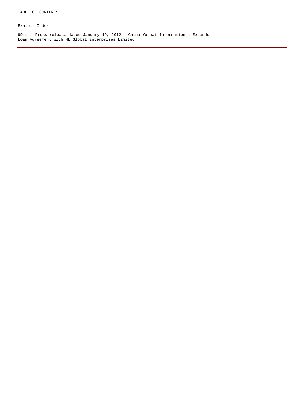Exhibit Index

99.1 Press release dated January 19, 2012 – China Yuchai International Extends Loan Agreement with HL Global Enterprises Limited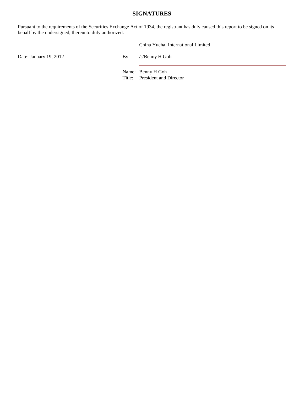### **SIGNATURES**

<span id="page-4-0"></span>Pursuant to the requirements of the Securities Exchange Act of 1934, the registrant has duly caused this report to be signed on its behalf by the undersigned, thereunto duly authorized.

|                        |                           | China Yuchai International Limited                 |
|------------------------|---------------------------|----------------------------------------------------|
| Date: January 19, 2012 | $\mathbf{B} \mathbf{v}$ : | /s/Benny H Goh                                     |
|                        |                           | Name: Benny H Goh<br>Title: President and Director |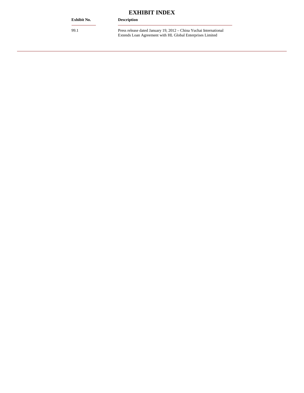# **EXHIBIT INDEX**

#### <span id="page-5-0"></span>**Exhibit No. Description**

99.1 Press release dated January 19, 2012 – China Yuchai International Extends Loan Agreement with HL Global Enterprises Limited